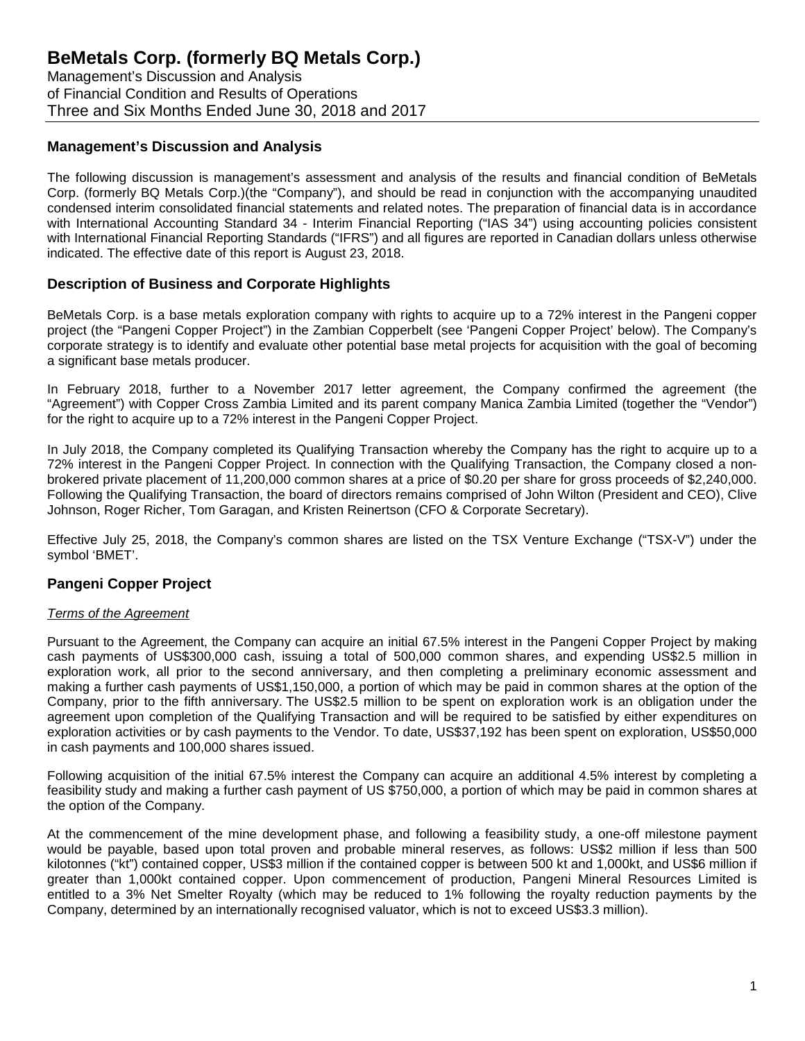Management's Discussion and Analysis of Financial Condition and Results of Operations Three and Six Months Ended June 30, 2018 and 2017

#### **Management's Discussion and Analysis**

The following discussion is management's assessment and analysis of the results and financial condition of BeMetals Corp. (formerly BQ Metals Corp.)(the "Company"), and should be read in conjunction with the accompanying unaudited condensed interim consolidated financial statements and related notes. The preparation of financial data is in accordance with International Accounting Standard 34 - Interim Financial Reporting ("IAS 34") using accounting policies consistent with International Financial Reporting Standards ("IFRS") and all figures are reported in Canadian dollars unless otherwise indicated. The effective date of this report is August 23, 2018.

#### **Description of Business and Corporate Highlights**

BeMetals Corp. is a base metals exploration company with rights to acquire up to a 72% interest in the Pangeni copper project (the "Pangeni Copper Project") in the Zambian Copperbelt (see 'Pangeni Copper Project' below). The Company's corporate strategy is to identify and evaluate other potential base metal projects for acquisition with the goal of becoming a significant base metals producer.

In February 2018, further to a November 2017 letter agreement, the Company confirmed the agreement (the "Agreement") with Copper Cross Zambia Limited and its parent company Manica Zambia Limited (together the "Vendor") for the right to acquire up to a 72% interest in the Pangeni Copper Project.

In July 2018, the Company completed its Qualifying Transaction whereby the Company has the right to acquire up to a 72% interest in the Pangeni Copper Project. In connection with the Qualifying Transaction, the Company closed a nonbrokered private placement of 11,200,000 common shares at a price of \$0.20 per share for gross proceeds of \$2,240,000. Following the Qualifying Transaction, the board of directors remains comprised of John Wilton (President and CEO), Clive Johnson, Roger Richer, Tom Garagan, and Kristen Reinertson (CFO & Corporate Secretary).

Effective July 25, 2018, the Company's common shares are listed on the TSX Venture Exchange ("TSX-V") under the symbol 'BMET'.

### **Pangeni Copper Project**

#### *Terms of the Agreement*

Pursuant to the Agreement, the Company can acquire an initial 67.5% interest in the Pangeni Copper Project by making cash payments of US\$300,000 cash, issuing a total of 500,000 common shares, and expending US\$2.5 million in exploration work, all prior to the second anniversary, and then completing a preliminary economic assessment and making a further cash payments of US\$1,150,000, a portion of which may be paid in common shares at the option of the Company, prior to the fifth anniversary. The US\$2.5 million to be spent on exploration work is an obligation under the agreement upon completion of the Qualifying Transaction and will be required to be satisfied by either expenditures on exploration activities or by cash payments to the Vendor. To date, US\$37,192 has been spent on exploration, US\$50,000 in cash payments and 100,000 shares issued.

Following acquisition of the initial 67.5% interest the Company can acquire an additional 4.5% interest by completing a feasibility study and making a further cash payment of US \$750,000, a portion of which may be paid in common shares at the option of the Company.

At the commencement of the mine development phase, and following a feasibility study, a one-off milestone payment would be payable, based upon total proven and probable mineral reserves, as follows: US\$2 million if less than 500 kilotonnes ("kt") contained copper, US\$3 million if the contained copper is between 500 kt and 1,000kt, and US\$6 million if greater than 1,000kt contained copper. Upon commencement of production, Pangeni Mineral Resources Limited is entitled to a 3% Net Smelter Royalty (which may be reduced to 1% following the royalty reduction payments by the Company, determined by an internationally recognised valuator, which is not to exceed US\$3.3 million).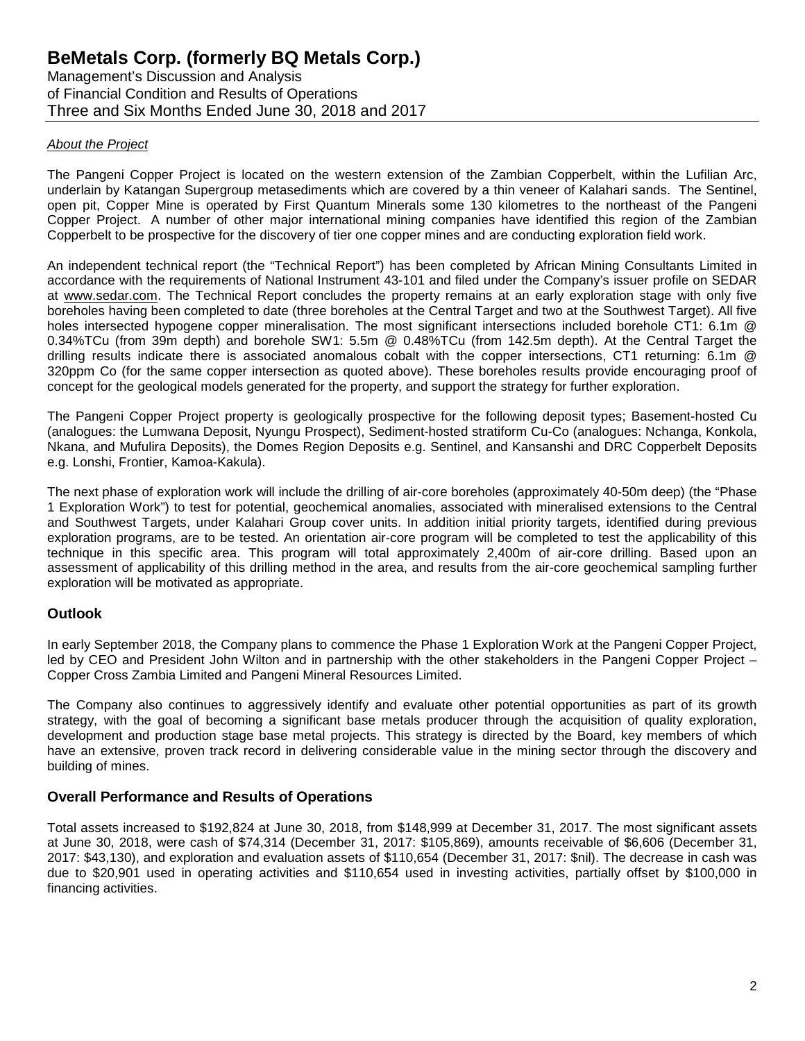Management's Discussion and Analysis of Financial Condition and Results of Operations Three and Six Months Ended June 30, 2018 and 2017

#### *About the Project*

The Pangeni Copper Project is located on the western extension of the Zambian Copperbelt, within the Lufilian Arc, underlain by Katangan Supergroup metasediments which are covered by a thin veneer of Kalahari sands. The Sentinel, open pit, Copper Mine is operated by First Quantum Minerals some 130 kilometres to the northeast of the Pangeni Copper Project. A number of other major international mining companies have identified this region of the Zambian Copperbelt to be prospective for the discovery of tier one copper mines and are conducting exploration field work.

An independent technical report (the "Technical Report") has been completed by African Mining Consultants Limited in accordance with the requirements of National Instrument 43-101 and filed under the Company's issuer profile on SEDAR at www.sedar.com. The Technical Report concludes the property remains at an early exploration stage with only five boreholes having been completed to date (three boreholes at the Central Target and two at the Southwest Target). All five holes intersected hypogene copper mineralisation. The most significant intersections included borehole CT1: 6.1m @ 0.34%TCu (from 39m depth) and borehole SW1: 5.5m @ 0.48%TCu (from 142.5m depth). At the Central Target the drilling results indicate there is associated anomalous cobalt with the copper intersections, CT1 returning: 6.1m @ 320ppm Co (for the same copper intersection as quoted above). These boreholes results provide encouraging proof of concept for the geological models generated for the property, and support the strategy for further exploration.

The Pangeni Copper Project property is geologically prospective for the following deposit types; Basement-hosted Cu (analogues: the Lumwana Deposit, Nyungu Prospect), Sediment-hosted stratiform Cu-Co (analogues: Nchanga, Konkola, Nkana, and Mufulira Deposits), the Domes Region Deposits e.g. Sentinel, and Kansanshi and DRC Copperbelt Deposits e.g. Lonshi, Frontier, Kamoa-Kakula).

The next phase of exploration work will include the drilling of air-core boreholes (approximately 40-50m deep) (the "Phase 1 Exploration Work") to test for potential, geochemical anomalies, associated with mineralised extensions to the Central and Southwest Targets, under Kalahari Group cover units. In addition initial priority targets, identified during previous exploration programs, are to be tested. An orientation air-core program will be completed to test the applicability of this technique in this specific area. This program will total approximately 2,400m of air-core drilling. Based upon an assessment of applicability of this drilling method in the area, and results from the air-core geochemical sampling further exploration will be motivated as appropriate.

### **Outlook**

In early September 2018, the Company plans to commence the Phase 1 Exploration Work at the Pangeni Copper Project, led by CEO and President John Wilton and in partnership with the other stakeholders in the Pangeni Copper Project – Copper Cross Zambia Limited and Pangeni Mineral Resources Limited.

The Company also continues to aggressively identify and evaluate other potential opportunities as part of its growth strategy, with the goal of becoming a significant base metals producer through the acquisition of quality exploration, development and production stage base metal projects. This strategy is directed by the Board, key members of which have an extensive, proven track record in delivering considerable value in the mining sector through the discovery and building of mines.

### **Overall Performance and Results of Operations**

Total assets increased to \$192,824 at June 30, 2018, from \$148,999 at December 31, 2017. The most significant assets at June 30, 2018, were cash of \$74,314 (December 31, 2017: \$105,869), amounts receivable of \$6,606 (December 31, 2017: \$43,130), and exploration and evaluation assets of \$110,654 (December 31, 2017: \$nil). The decrease in cash was due to \$20,901 used in operating activities and \$110,654 used in investing activities, partially offset by \$100,000 in financing activities.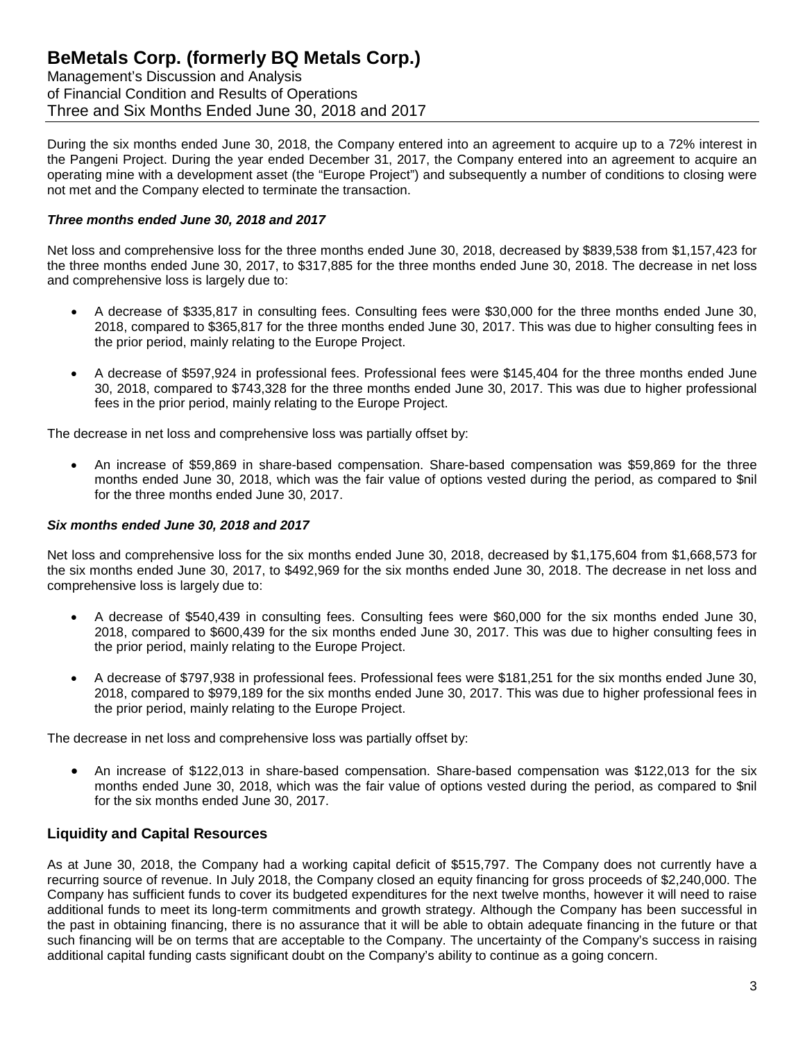Management's Discussion and Analysis of Financial Condition and Results of Operations Three and Six Months Ended June 30, 2018 and 2017

During the six months ended June 30, 2018, the Company entered into an agreement to acquire up to a 72% interest in the Pangeni Project. During the year ended December 31, 2017, the Company entered into an agreement to acquire an operating mine with a development asset (the "Europe Project") and subsequently a number of conditions to closing were not met and the Company elected to terminate the transaction.

#### *Three months ended June 30, 2018 and 2017*

Net loss and comprehensive loss for the three months ended June 30, 2018, decreased by \$839,538 from \$1,157,423 for the three months ended June 30, 2017, to \$317,885 for the three months ended June 30, 2018. The decrease in net loss and comprehensive loss is largely due to:

- A decrease of \$335,817 in consulting fees. Consulting fees were \$30,000 for the three months ended June 30, 2018, compared to \$365,817 for the three months ended June 30, 2017. This was due to higher consulting fees in the prior period, mainly relating to the Europe Project.
- A decrease of \$597,924 in professional fees. Professional fees were \$145,404 for the three months ended June 30, 2018, compared to \$743,328 for the three months ended June 30, 2017. This was due to higher professional fees in the prior period, mainly relating to the Europe Project.

The decrease in net loss and comprehensive loss was partially offset by:

• An increase of \$59,869 in share-based compensation. Share-based compensation was \$59,869 for the three months ended June 30, 2018, which was the fair value of options vested during the period, as compared to \$nil for the three months ended June 30, 2017.

#### *Six months ended June 30, 2018 and 2017*

Net loss and comprehensive loss for the six months ended June 30, 2018, decreased by \$1,175,604 from \$1,668,573 for the six months ended June 30, 2017, to \$492,969 for the six months ended June 30, 2018. The decrease in net loss and comprehensive loss is largely due to:

- A decrease of \$540,439 in consulting fees. Consulting fees were \$60,000 for the six months ended June 30, 2018, compared to \$600,439 for the six months ended June 30, 2017. This was due to higher consulting fees in the prior period, mainly relating to the Europe Project.
- A decrease of \$797,938 in professional fees. Professional fees were \$181,251 for the six months ended June 30, 2018, compared to \$979,189 for the six months ended June 30, 2017. This was due to higher professional fees in the prior period, mainly relating to the Europe Project.

The decrease in net loss and comprehensive loss was partially offset by:

• An increase of \$122,013 in share-based compensation. Share-based compensation was \$122,013 for the six months ended June 30, 2018, which was the fair value of options vested during the period, as compared to \$nil for the six months ended June 30, 2017.

#### **Liquidity and Capital Resources**

As at June 30, 2018, the Company had a working capital deficit of \$515,797. The Company does not currently have a recurring source of revenue. In July 2018, the Company closed an equity financing for gross proceeds of \$2,240,000. The Company has sufficient funds to cover its budgeted expenditures for the next twelve months, however it will need to raise additional funds to meet its long-term commitments and growth strategy. Although the Company has been successful in the past in obtaining financing, there is no assurance that it will be able to obtain adequate financing in the future or that such financing will be on terms that are acceptable to the Company. The uncertainty of the Company's success in raising additional capital funding casts significant doubt on the Company's ability to continue as a going concern.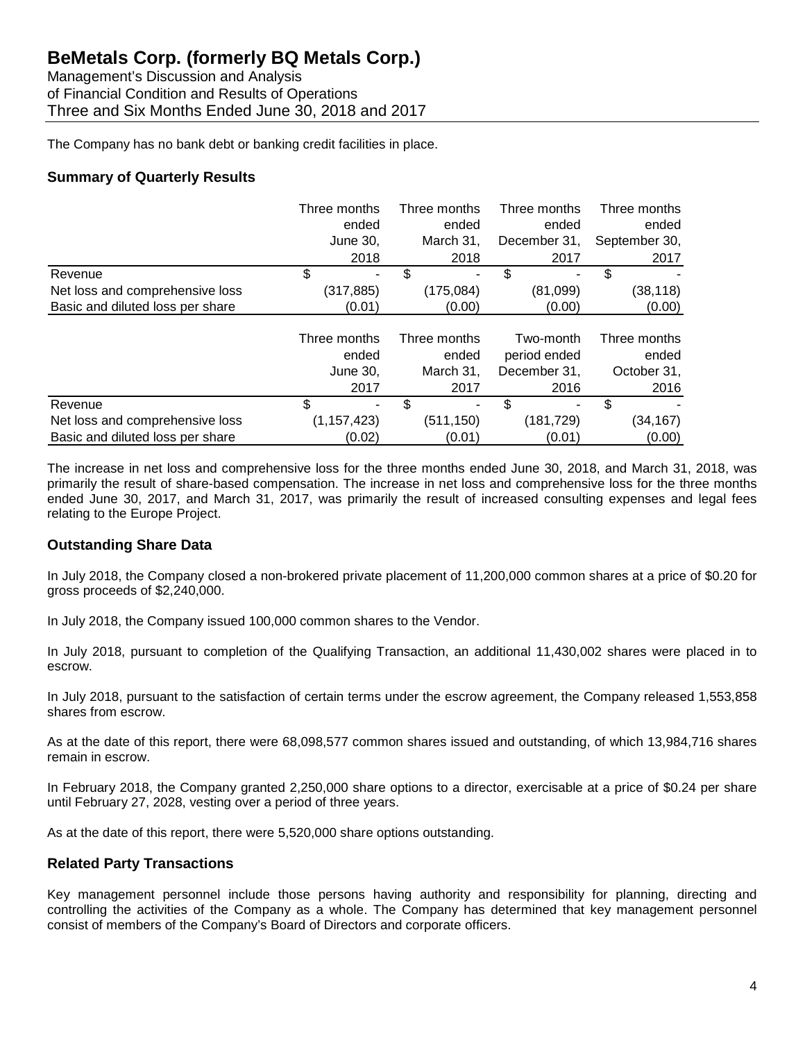Management's Discussion and Analysis of Financial Condition and Results of Operations Three and Six Months Ended June 30, 2018 and 2017

The Company has no bank debt or banking credit facilities in place.

### **Summary of Quarterly Results**

|                                  | Three months  | Three months | Three months | Three months  |
|----------------------------------|---------------|--------------|--------------|---------------|
|                                  | ended         | ended        | ended        | ended         |
|                                  | June 30,      | March 31,    | December 31, | September 30, |
|                                  | 2018          | 2018         | 2017         | 2017          |
| Revenue                          | \$            | \$<br>۰      | \$           | \$            |
| Net loss and comprehensive loss  | (317, 885)    | (175,084)    | (81,099)     | (38, 118)     |
| Basic and diluted loss per share | (0.01)        | (0.00)       | (0.00)       | (0.00)        |
|                                  |               |              |              |               |
|                                  | Three months  | Three months | Two-month    | Three months  |
|                                  | ended         | ended        | period ended | ended         |
|                                  | June 30,      | March 31,    | December 31. | October 31,   |
|                                  | 2017          | 2017         | 2016         | 2016          |
| Revenue                          | \$            | \$<br>۰      | \$           | \$            |
| Net loss and comprehensive loss  | (1, 157, 423) | (511, 150)   | (181, 729)   | (34, 167)     |
| Basic and diluted loss per share | (0.02)        | (0.01)       | (0.01)       | (0.00)        |

The increase in net loss and comprehensive loss for the three months ended June 30, 2018, and March 31, 2018, was primarily the result of share-based compensation. The increase in net loss and comprehensive loss for the three months ended June 30, 2017, and March 31, 2017, was primarily the result of increased consulting expenses and legal fees relating to the Europe Project.

### **Outstanding Share Data**

In July 2018, the Company closed a non-brokered private placement of 11,200,000 common shares at a price of \$0.20 for gross proceeds of \$2,240,000.

In July 2018, the Company issued 100,000 common shares to the Vendor.

In July 2018, pursuant to completion of the Qualifying Transaction, an additional 11,430,002 shares were placed in to escrow.

In July 2018, pursuant to the satisfaction of certain terms under the escrow agreement, the Company released 1,553,858 shares from escrow.

As at the date of this report, there were 68,098,577 common shares issued and outstanding, of which 13,984,716 shares remain in escrow.

In February 2018, the Company granted 2,250,000 share options to a director, exercisable at a price of \$0.24 per share until February 27, 2028, vesting over a period of three years.

As at the date of this report, there were 5,520,000 share options outstanding.

### **Related Party Transactions**

Key management personnel include those persons having authority and responsibility for planning, directing and controlling the activities of the Company as a whole. The Company has determined that key management personnel consist of members of the Company's Board of Directors and corporate officers.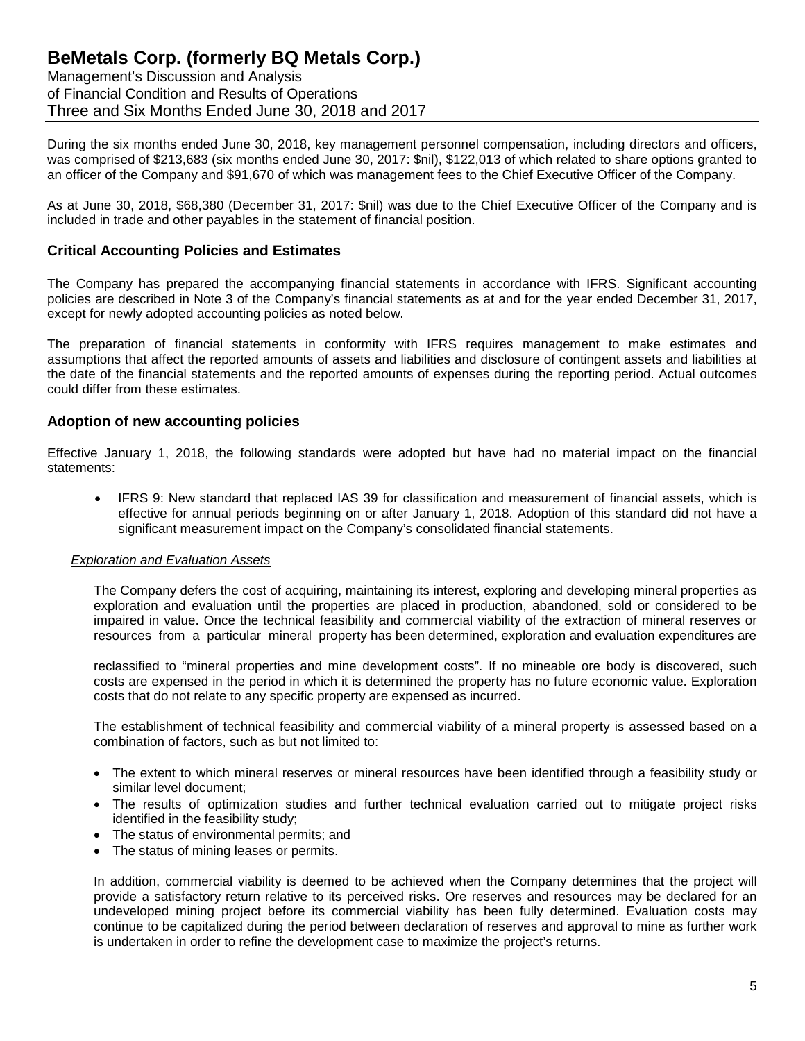Management's Discussion and Analysis of Financial Condition and Results of Operations Three and Six Months Ended June 30, 2018 and 2017

During the six months ended June 30, 2018, key management personnel compensation, including directors and officers, was comprised of \$213,683 (six months ended June 30, 2017: \$nil), \$122,013 of which related to share options granted to an officer of the Company and \$91,670 of which was management fees to the Chief Executive Officer of the Company.

As at June 30, 2018, \$68,380 (December 31, 2017: \$nil) was due to the Chief Executive Officer of the Company and is included in trade and other payables in the statement of financial position.

#### **Critical Accounting Policies and Estimates**

The Company has prepared the accompanying financial statements in accordance with IFRS. Significant accounting policies are described in Note 3 of the Company's financial statements as at and for the year ended December 31, 2017, except for newly adopted accounting policies as noted below.

The preparation of financial statements in conformity with IFRS requires management to make estimates and assumptions that affect the reported amounts of assets and liabilities and disclosure of contingent assets and liabilities at the date of the financial statements and the reported amounts of expenses during the reporting period. Actual outcomes could differ from these estimates.

#### **Adoption of new accounting policies**

Effective January 1, 2018, the following standards were adopted but have had no material impact on the financial statements:

• IFRS 9: New standard that replaced IAS 39 for classification and measurement of financial assets, which is effective for annual periods beginning on or after January 1, 2018. Adoption of this standard did not have a significant measurement impact on the Company's consolidated financial statements.

#### *Exploration and Evaluation Assets*

The Company defers the cost of acquiring, maintaining its interest, exploring and developing mineral properties as exploration and evaluation until the properties are placed in production, abandoned, sold or considered to be impaired in value. Once the technical feasibility and commercial viability of the extraction of mineral reserves or resources from a particular mineral property has been determined, exploration and evaluation expenditures are

reclassified to "mineral properties and mine development costs". If no mineable ore body is discovered, such costs are expensed in the period in which it is determined the property has no future economic value. Exploration costs that do not relate to any specific property are expensed as incurred.

The establishment of technical feasibility and commercial viability of a mineral property is assessed based on a combination of factors, such as but not limited to:

- The extent to which mineral reserves or mineral resources have been identified through a feasibility study or similar level document;
- The results of optimization studies and further technical evaluation carried out to mitigate project risks identified in the feasibility study;
- The status of environmental permits; and
- The status of mining leases or permits.

In addition, commercial viability is deemed to be achieved when the Company determines that the project will provide a satisfactory return relative to its perceived risks. Ore reserves and resources may be declared for an undeveloped mining project before its commercial viability has been fully determined. Evaluation costs may continue to be capitalized during the period between declaration of reserves and approval to mine as further work is undertaken in order to refine the development case to maximize the project's returns.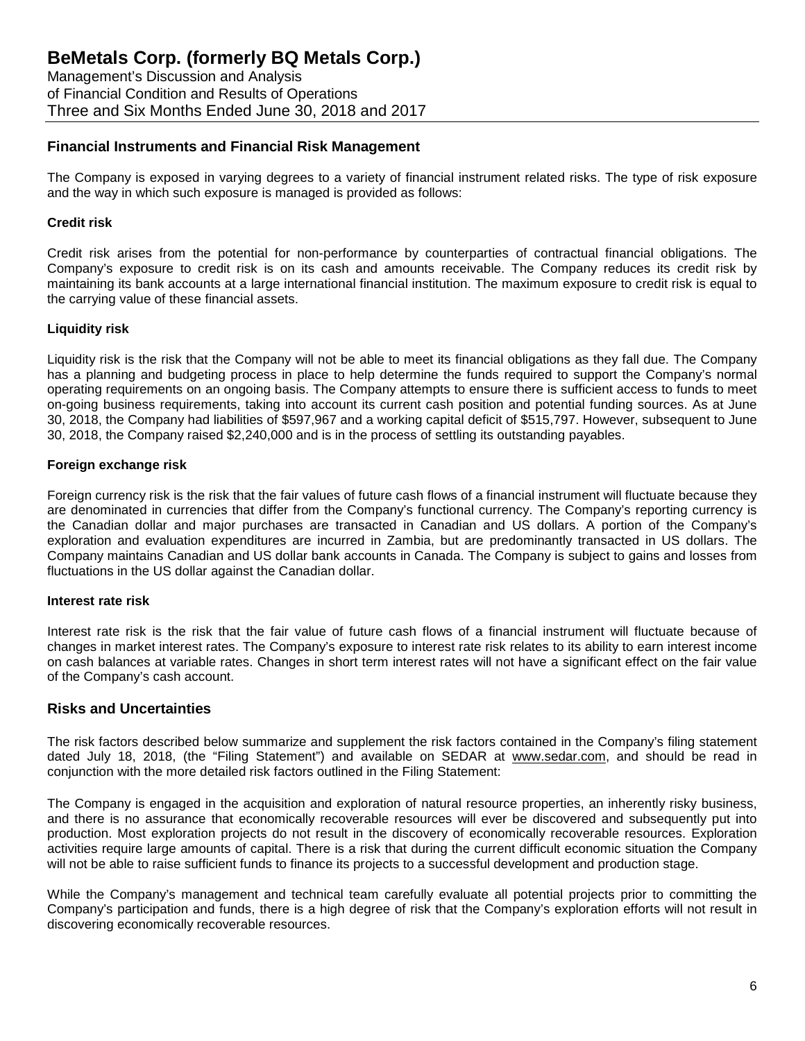Management's Discussion and Analysis of Financial Condition and Results of Operations Three and Six Months Ended June 30, 2018 and 2017

#### **Financial Instruments and Financial Risk Management**

The Company is exposed in varying degrees to a variety of financial instrument related risks. The type of risk exposure and the way in which such exposure is managed is provided as follows:

#### **Credit risk**

Credit risk arises from the potential for non-performance by counterparties of contractual financial obligations. The Company's exposure to credit risk is on its cash and amounts receivable. The Company reduces its credit risk by maintaining its bank accounts at a large international financial institution. The maximum exposure to credit risk is equal to the carrying value of these financial assets.

#### **Liquidity risk**

Liquidity risk is the risk that the Company will not be able to meet its financial obligations as they fall due. The Company has a planning and budgeting process in place to help determine the funds required to support the Company's normal operating requirements on an ongoing basis. The Company attempts to ensure there is sufficient access to funds to meet on-going business requirements, taking into account its current cash position and potential funding sources. As at June 30, 2018, the Company had liabilities of \$597,967 and a working capital deficit of \$515,797. However, subsequent to June 30, 2018, the Company raised \$2,240,000 and is in the process of settling its outstanding payables.

#### **Foreign exchange risk**

Foreign currency risk is the risk that the fair values of future cash flows of a financial instrument will fluctuate because they are denominated in currencies that differ from the Company's functional currency. The Company's reporting currency is the Canadian dollar and major purchases are transacted in Canadian and US dollars. A portion of the Company's exploration and evaluation expenditures are incurred in Zambia, but are predominantly transacted in US dollars. The Company maintains Canadian and US dollar bank accounts in Canada. The Company is subject to gains and losses from fluctuations in the US dollar against the Canadian dollar.

#### **Interest rate risk**

Interest rate risk is the risk that the fair value of future cash flows of a financial instrument will fluctuate because of changes in market interest rates. The Company's exposure to interest rate risk relates to its ability to earn interest income on cash balances at variable rates. Changes in short term interest rates will not have a significant effect on the fair value of the Company's cash account.

#### **Risks and Uncertainties**

The risk factors described below summarize and supplement the risk factors contained in the Company's filing statement dated July 18, 2018, (the "Filing Statement") and available on SEDAR at www.sedar.com, and should be read in conjunction with the more detailed risk factors outlined in the Filing Statement:

The Company is engaged in the acquisition and exploration of natural resource properties, an inherently risky business, and there is no assurance that economically recoverable resources will ever be discovered and subsequently put into production. Most exploration projects do not result in the discovery of economically recoverable resources. Exploration activities require large amounts of capital. There is a risk that during the current difficult economic situation the Company will not be able to raise sufficient funds to finance its projects to a successful development and production stage.

While the Company's management and technical team carefully evaluate all potential projects prior to committing the Company's participation and funds, there is a high degree of risk that the Company's exploration efforts will not result in discovering economically recoverable resources.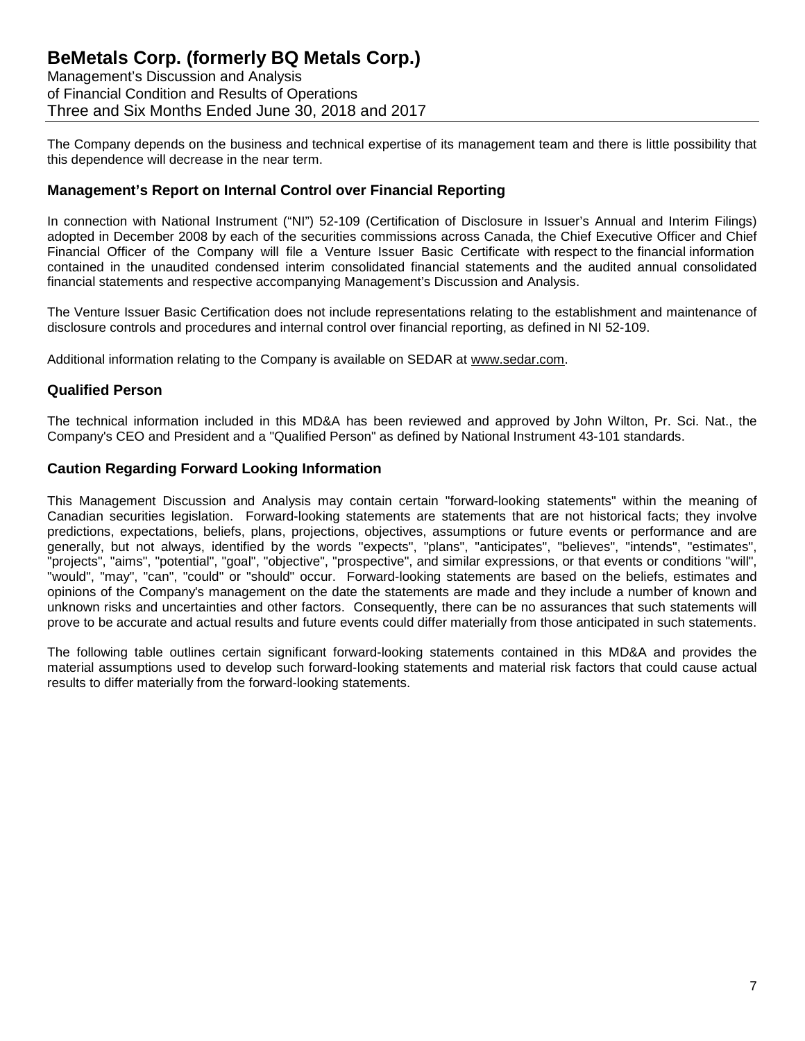Management's Discussion and Analysis of Financial Condition and Results of Operations Three and Six Months Ended June 30, 2018 and 2017

The Company depends on the business and technical expertise of its management team and there is little possibility that this dependence will decrease in the near term.

### **Management's Report on Internal Control over Financial Reporting**

In connection with National Instrument ("NI") 52-109 (Certification of Disclosure in Issuer's Annual and Interim Filings) adopted in December 2008 by each of the securities commissions across Canada, the Chief Executive Officer and Chief Financial Officer of the Company will file a Venture Issuer Basic Certificate with respect to the financial information contained in the unaudited condensed interim consolidated financial statements and the audited annual consolidated financial statements and respective accompanying Management's Discussion and Analysis.

The Venture Issuer Basic Certification does not include representations relating to the establishment and maintenance of disclosure controls and procedures and internal control over financial reporting, as defined in NI 52-109.

Additional information relating to the Company is available on SEDAR at [www.sedar.com.](http://www.sedar.com/)

#### **Qualified Person**

The technical information included in this MD&A has been reviewed and approved by John Wilton, Pr. Sci. Nat., the Company's CEO and President and a "Qualified Person" as defined by National Instrument 43-101 standards.

#### **Caution Regarding Forward Looking Information**

This Management Discussion and Analysis may contain certain "forward-looking statements" within the meaning of Canadian securities legislation. Forward-looking statements are statements that are not historical facts; they involve predictions, expectations, beliefs, plans, projections, objectives, assumptions or future events or performance and are generally, but not always, identified by the words "expects", "plans", "anticipates", "believes", "intends", "estimates", "projects", "aims", "potential", "goal", "objective", "prospective", and similar expressions, or that events or conditions "will", "would", "may", "can", "could" or "should" occur. Forward-looking statements are based on the beliefs, estimates and opinions of the Company's management on the date the statements are made and they include a number of known and unknown risks and uncertainties and other factors. Consequently, there can be no assurances that such statements will prove to be accurate and actual results and future events could differ materially from those anticipated in such statements.

The following table outlines certain significant forward-looking statements contained in this MD&A and provides the material assumptions used to develop such forward-looking statements and material risk factors that could cause actual results to differ materially from the forward-looking statements.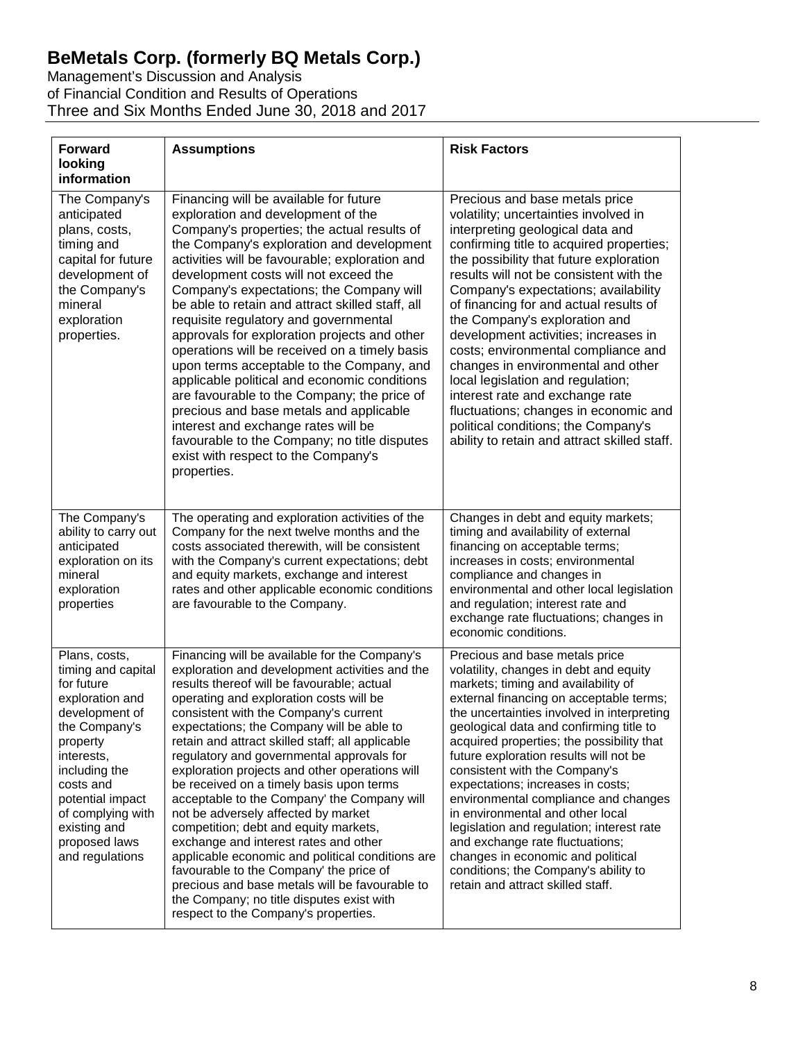Management's Discussion and Analysis of Financial Condition and Results of Operations Three and Six Months Ended June 30, 2018 and 2017

| <b>Forward</b><br>looking<br>information                                                                                                                                                                                                                     | <b>Assumptions</b>                                                                                                                                                                                                                                                                                                                                                                                                                                                                                                                                                                                                                                                                                                                                                                                                                                                                          | <b>Risk Factors</b>                                                                                                                                                                                                                                                                                                                                                                                                                                                                                                                                                                                                                                                                            |
|--------------------------------------------------------------------------------------------------------------------------------------------------------------------------------------------------------------------------------------------------------------|---------------------------------------------------------------------------------------------------------------------------------------------------------------------------------------------------------------------------------------------------------------------------------------------------------------------------------------------------------------------------------------------------------------------------------------------------------------------------------------------------------------------------------------------------------------------------------------------------------------------------------------------------------------------------------------------------------------------------------------------------------------------------------------------------------------------------------------------------------------------------------------------|------------------------------------------------------------------------------------------------------------------------------------------------------------------------------------------------------------------------------------------------------------------------------------------------------------------------------------------------------------------------------------------------------------------------------------------------------------------------------------------------------------------------------------------------------------------------------------------------------------------------------------------------------------------------------------------------|
| The Company's<br>anticipated<br>plans, costs,<br>timing and<br>capital for future<br>development of<br>the Company's<br>mineral<br>exploration<br>properties.                                                                                                | Financing will be available for future<br>exploration and development of the<br>Company's properties; the actual results of<br>the Company's exploration and development<br>activities will be favourable; exploration and<br>development costs will not exceed the<br>Company's expectations; the Company will<br>be able to retain and attract skilled staff, all<br>requisite regulatory and governmental<br>approvals for exploration projects and other<br>operations will be received on a timely basis<br>upon terms acceptable to the Company, and<br>applicable political and economic conditions<br>are favourable to the Company; the price of<br>precious and base metals and applicable<br>interest and exchange rates will be<br>favourable to the Company; no title disputes<br>exist with respect to the Company's<br>properties.                                           | Precious and base metals price<br>volatility; uncertainties involved in<br>interpreting geological data and<br>confirming title to acquired properties;<br>the possibility that future exploration<br>results will not be consistent with the<br>Company's expectations; availability<br>of financing for and actual results of<br>the Company's exploration and<br>development activities; increases in<br>costs; environmental compliance and<br>changes in environmental and other<br>local legislation and regulation;<br>interest rate and exchange rate<br>fluctuations; changes in economic and<br>political conditions; the Company's<br>ability to retain and attract skilled staff.  |
| The Company's<br>ability to carry out<br>anticipated<br>exploration on its<br>mineral<br>exploration<br>properties                                                                                                                                           | The operating and exploration activities of the<br>Company for the next twelve months and the<br>costs associated therewith, will be consistent<br>with the Company's current expectations; debt<br>and equity markets, exchange and interest<br>rates and other applicable economic conditions<br>are favourable to the Company.                                                                                                                                                                                                                                                                                                                                                                                                                                                                                                                                                           | Changes in debt and equity markets;<br>timing and availability of external<br>financing on acceptable terms;<br>increases in costs; environmental<br>compliance and changes in<br>environmental and other local legislation<br>and regulation; interest rate and<br>exchange rate fluctuations; changes in<br>economic conditions.                                                                                                                                                                                                                                                                                                                                                             |
| Plans, costs,<br>timing and capital<br>for future<br>exploration and<br>development of<br>the Company's<br>property<br>interests,<br>including the<br>costs and<br>potential impact<br>of complying with<br>existing and<br>proposed laws<br>and regulations | Financing will be available for the Company's<br>exploration and development activities and the<br>results thereof will be favourable; actual<br>operating and exploration costs will be<br>consistent with the Company's current<br>expectations; the Company will be able to<br>retain and attract skilled staff; all applicable<br>regulatory and governmental approvals for<br>exploration projects and other operations will<br>be received on a timely basis upon terms<br>acceptable to the Company' the Company will<br>not be adversely affected by market<br>competition; debt and equity markets,<br>exchange and interest rates and other<br>applicable economic and political conditions are<br>favourable to the Company' the price of<br>precious and base metals will be favourable to<br>the Company; no title disputes exist with<br>respect to the Company's properties. | Precious and base metals price<br>volatility, changes in debt and equity<br>markets; timing and availability of<br>external financing on acceptable terms;<br>the uncertainties involved in interpreting<br>geological data and confirming title to<br>acquired properties; the possibility that<br>future exploration results will not be<br>consistent with the Company's<br>expectations; increases in costs;<br>environmental compliance and changes<br>in environmental and other local<br>legislation and regulation; interest rate<br>and exchange rate fluctuations;<br>changes in economic and political<br>conditions; the Company's ability to<br>retain and attract skilled staff. |